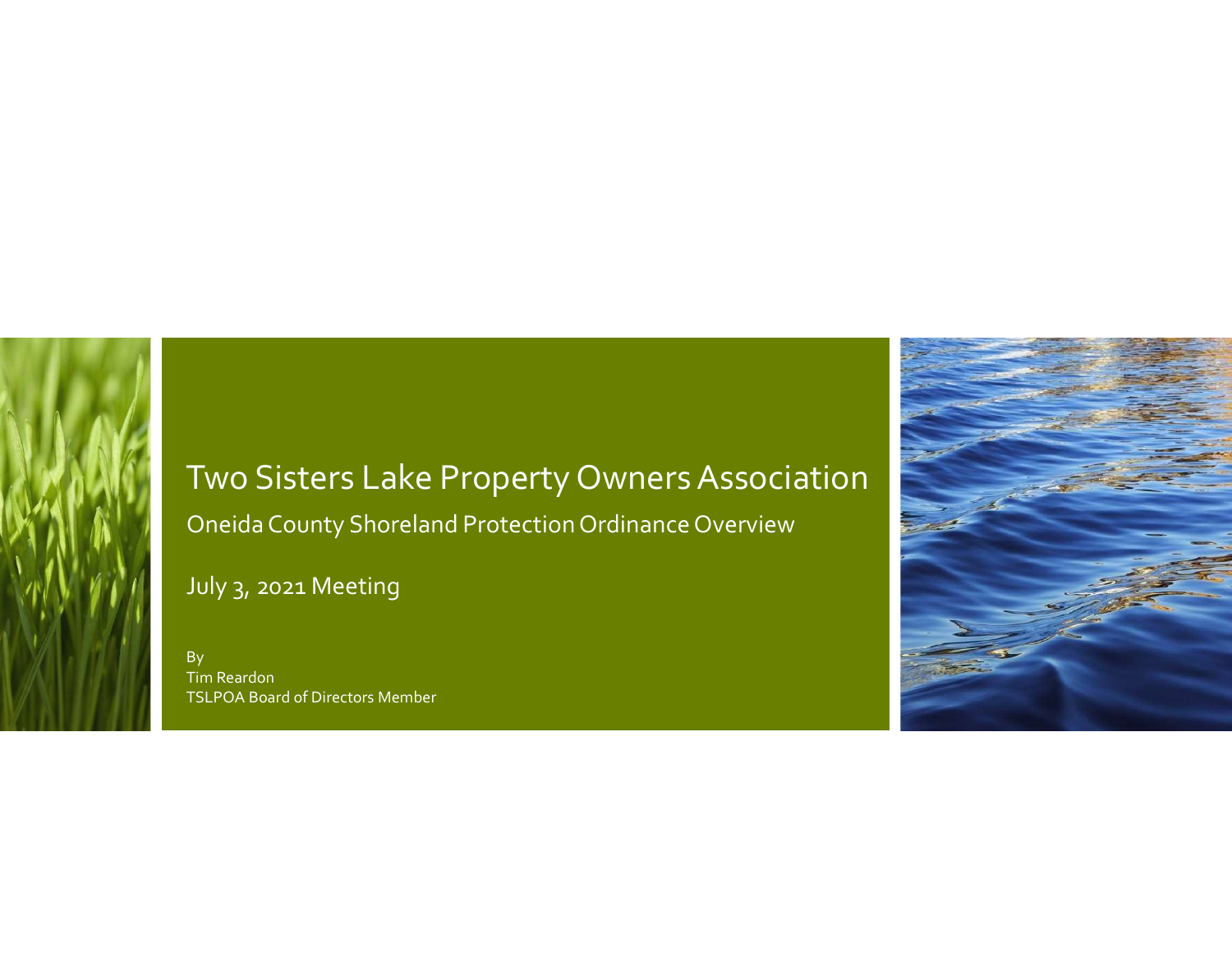# Two Sisters Lake Property Owners Association Oneida County Shoreland Protection Ordinance Overview **Two Sisters Lake Property Owners Associat**<br>Oneida County Shoreland Protection Ordinance Overview<br>July 3, 2021 Meeting<br>TSLPOA Board of Directors Member

By the contract of the contract of the contract of the contract of the contract of the contract of the contract of the contract of the contract of the contract of the contract of the contract of the contract of the contrac Tim Reardon TSLPOA Board of Directors Member

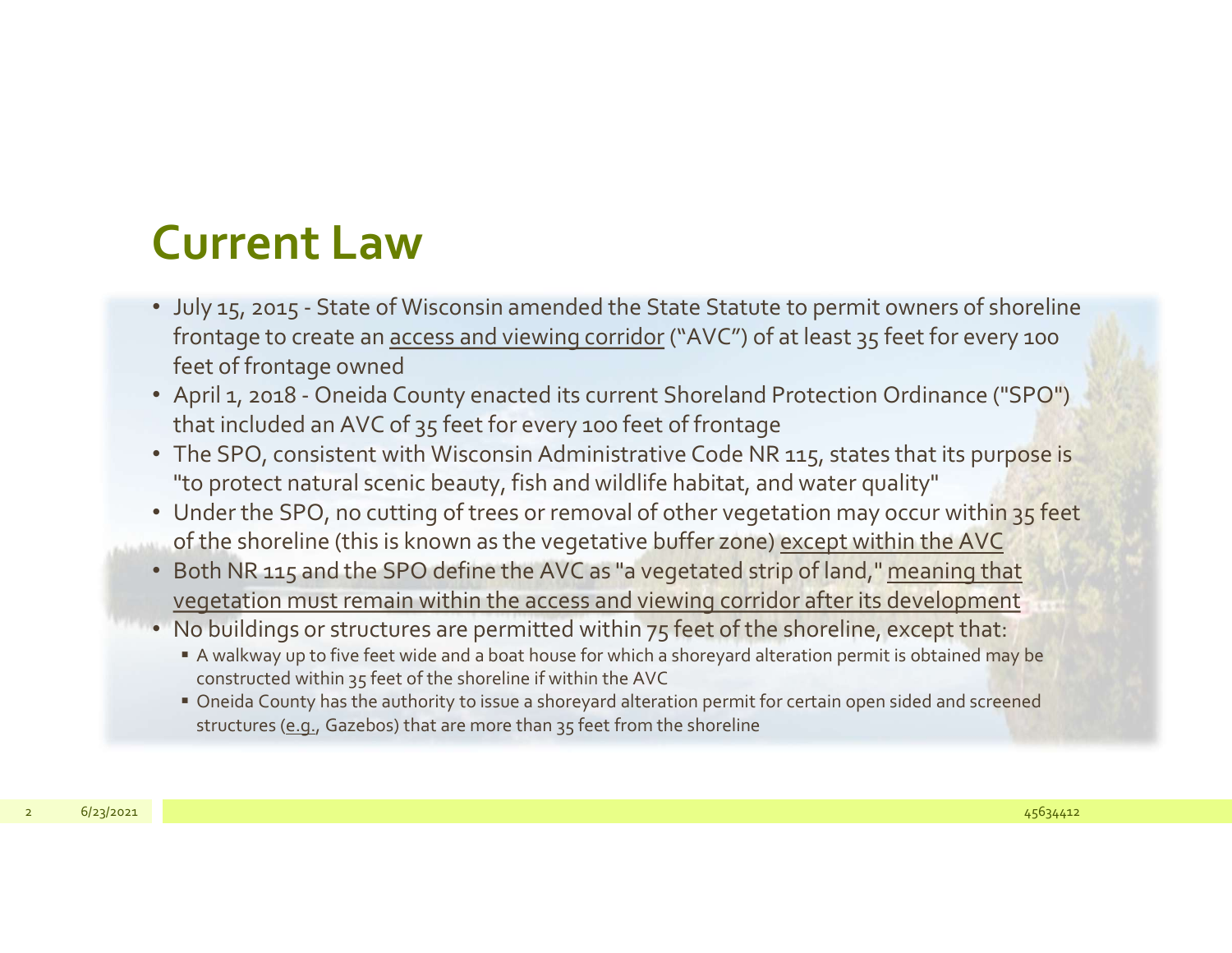#### Current Law

- **Current Law**<br>• July 15, 2015 State of Wisconsin amended the State Statute to permit owners of shoreline<br>frontage to create an <u>access and viewing corridor</u> ("AVC") of at least 35 feet for every 100<br>• April 1, 2018 One **Example 18 Follow Solution**<br>July 15, 2015 - State of Wisconsin amended the State Statute to permit owners of shoreline<br>frontage to create an <u>access and viewing corridor</u> ("AVC") of at least 35 feet for every 100<br>feet of feet of frontage owned **CUITENT LAW**<br>• July 15, 2015 - State of Wisconsin amended the State Statute to permit owners of shoreline<br>frontage to create an <u>access and viewing corridor</u> ("AVC") of at least 35 feet for every 100<br>feet of frontage owne
- that included an AVC of 35 feet for every 100 feet of frontage
- The SPO, consistent with Wisconsin Administrative Code NR 115, states that its purpose is "to protect natural scenic beauty, fish and wildlife habitat, and water quality"
- Under the SPO, no cutting of trees or removal of other vegetation may occur within 35 feet of the shoreline (this is known as the vegetative buffer zone) except within the AVC that included an AVC of 35 feet for every 200 feet of frontinge<br>
The SPO, consistent with Wisconsin Administrative Code NR 115, states that its purpose is<br>
"to protect natural scenic beauty, fish and wildlife habitat, and
	- Both NR 115 and the SPO define the AVC as "a vegetated strip of land," meaning that vegetation must remain within the access and viewing corridor after its development
	- No buildings or structures are permitted within 75 feet of the shoreline, except that:
		- A walkway up to five feet wide and a boat house for which a shoreyard alteration permit is obtained may be constructed within 35 feet of the shoreline if within the AVC
		- Oneida County has the authority to issue a shoreyard alteration permit for certain open sided and screened structures (e.g., Gazebos) that are more than 35 feet from the shoreline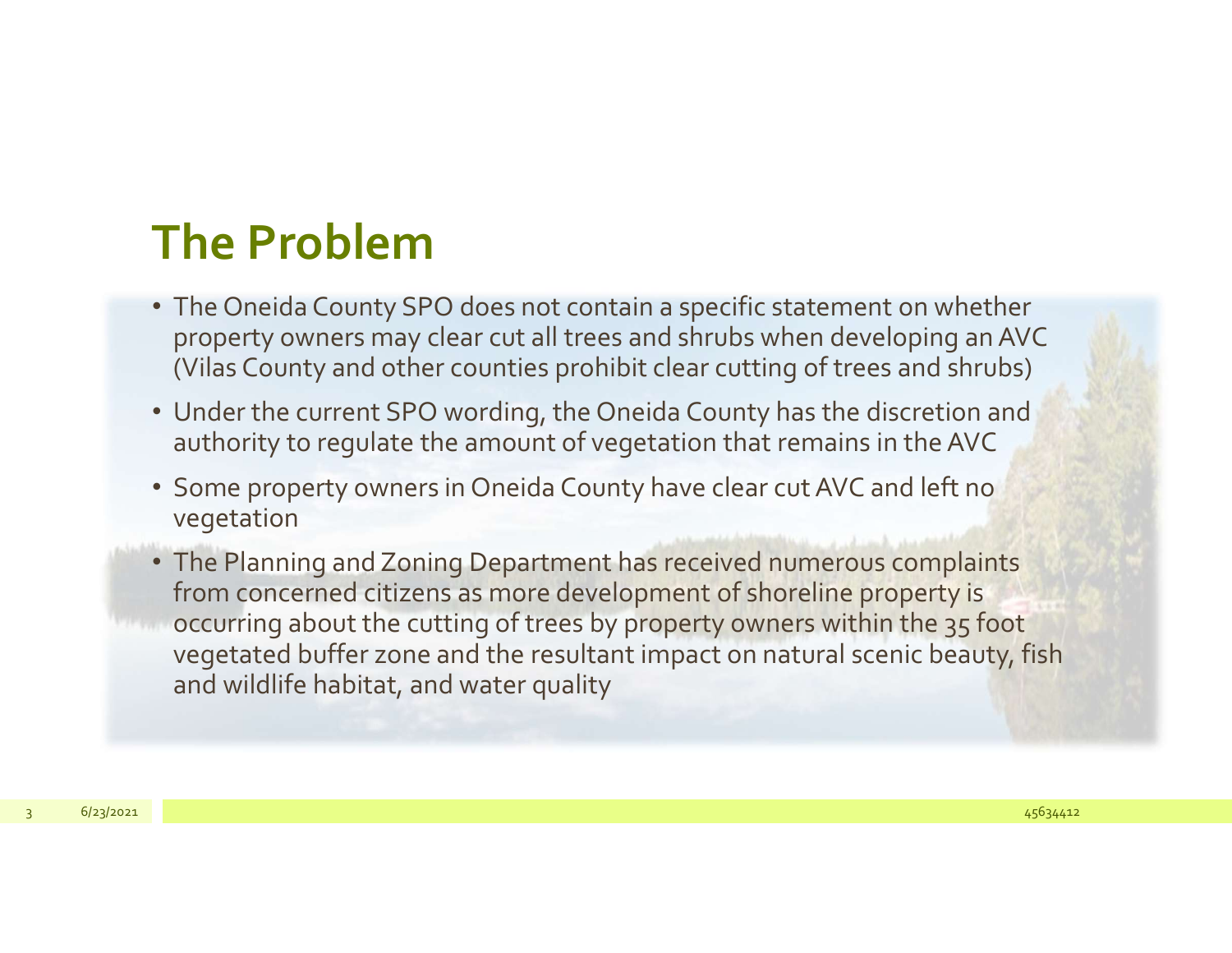### The Problem

- The Oneida County SPO does not contain a specific statement on whether property owners may clear cut all trees and shrubs when developing an AVC (Vilas County and other counties prohibit clear cutting of trees and shrubs)
- Under the current SPO wording, the Oneida County has the discretion and authority to regulate the amount of vegetation that remains in the AVC
- Some property owners in Oneida County have clear cut AVC and left no vegetation
- The Planning and Zoning Department has received numerous complaints from concerned citizens as more development of shoreline property is occurring about the cutting of trees by property owners within the 35 foot vegetated buffer zone and the resultant impact on natural scenic beauty, fish and wildlife habitat, and water quality authority to regulate the amount of vegetation that remains in the AVC<br>
Some property owners in Oneida County have clear cut AVC and left no<br>
vegetation<br>
• The Planning and Zoning Department has received numerous complaint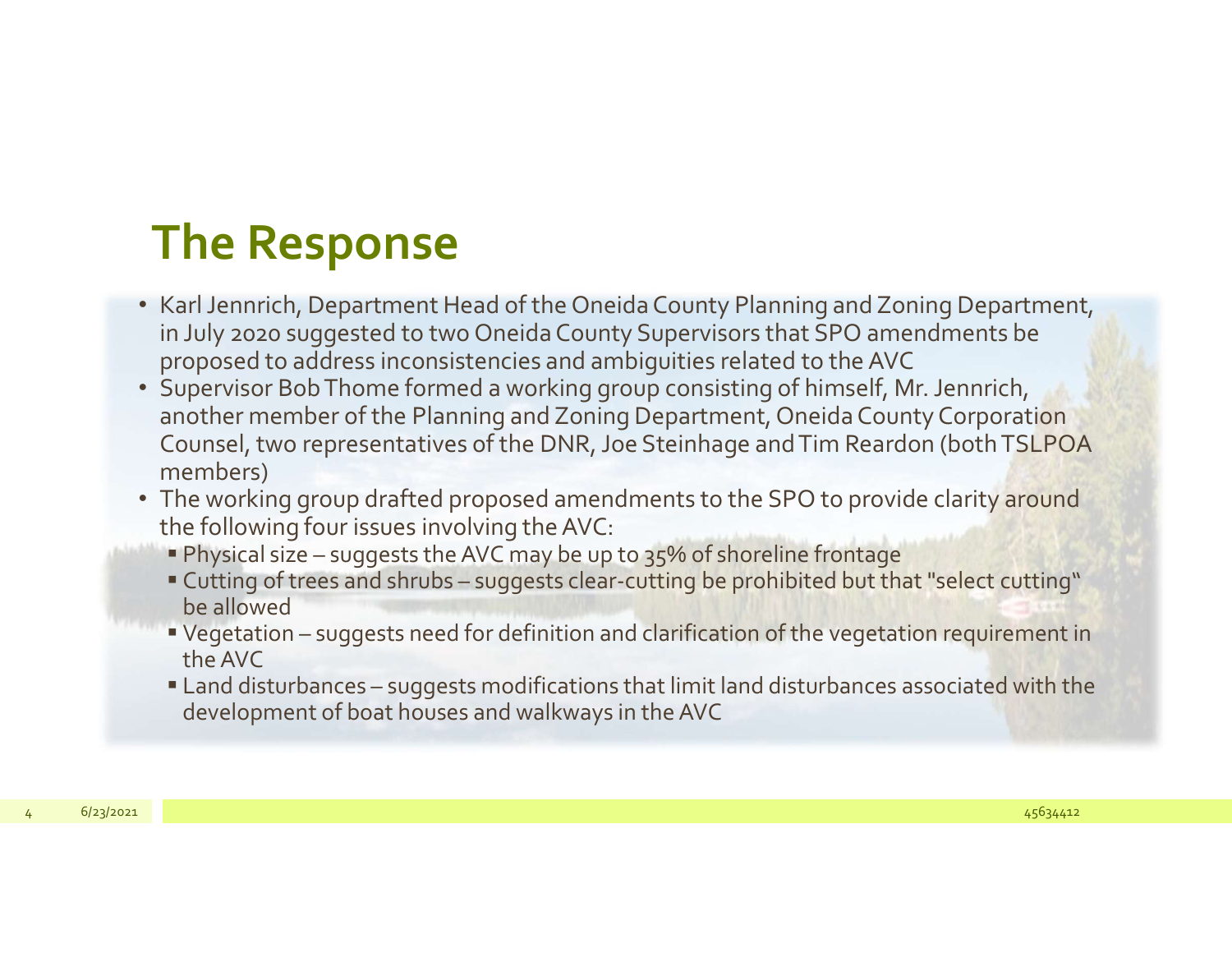# The Response

- Karl Jennrich, Department Head of the Oneida County Planning and Zoning Department, in July 2020 suggested to two Oneida County Supervisors that SPO amendments be proposed to address inconsistencies and ambiguities related to the AVC
- Supervisor Bob Thome formed a working group consisting of himself, Mr. Jennrich, another member of the Planning and Zoning Department, Oneida County Corporation Counsel, two representatives of the DNR, Joe Steinhage and Tim Reardon (both TSLPOA members) **The Response**<br>
Karl Jennrich, Department Head of the Oneida County Planning and Zoning Department,<br>
I July 2020 suggested to two Oneida County Supervisors that SPO amendments be<br>
proposed to address inconsistencies and am **The Response**<br>
Carl Jennrich, Department Head of the Oneida County Planning and Zoning Department,<br>
In July 2020 suggested to two Oneida County Supervisors that SPO amendments be<br>
proposed to address inconsistencies and a THE RESPUTISE<br>
Karl Jennrich, Department Head of the Oneida County Suervisors that SPO amendments be<br>
noroposed to address inconsistencies and ambiguities related to the AVC<br>
Supervisor Bob Thome formed a working group con Carl Jennrich, Department Head of the Oneida County Planning and Zoning Department,<br>
nJuly 2020 suggested to two Oneida County Supervisors that SPO amendments be<br>
proposed to address inconsistencies and ambiguities related Fremencies in the Humanity and Counsel, two representatives of the DNR, Joe Steinhage and Tim Reardon (both TSLPOA<br>
members)<br>
The working group drafted proposed amendments to the SPO to provide clarity around<br>
the followin
	- The working group drafted proposed amendments to the SPO to provide clarity around the following four issues involving the AVC:
		-
		- be allowed
		- the AVC
		- development of boat houses and walkways in the AVC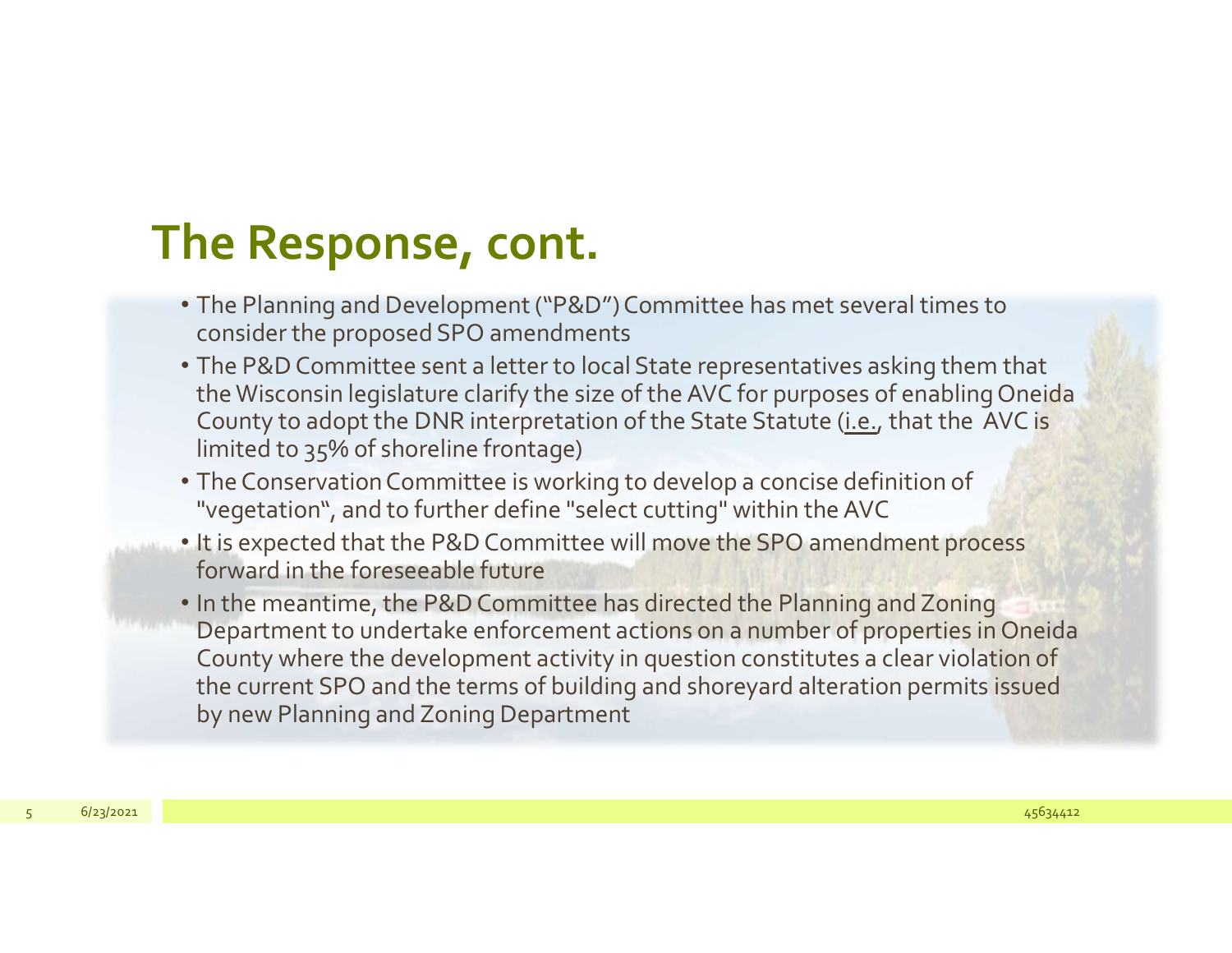### The Response, cont.

- The Planning and Development ("P&D") Committee has met several times to consider the proposed SPO amendments
- The P&D Committee sent a letter to local State representatives asking them that the Wisconsin legislature clarify the size of the AVC for purposes of enabling Oneida County to adopt the DNR interpretation of the State Statute (i.e., that the AVC is limited to 35% of shoreline frontage)
- The Conservation Committee is working to develop a concise definition of "vegetation", and to further define "select cutting" within the AVC
- It is expected that the P&D Committee will move the SPO amendment process forward in the foreseeable future
- In the meantime, the P&D Committee has directed the Planning and Zoning The Planning and Development ("P&D") Committee has met several times to<br>consider the proposed SPO amendments<br>The P&D Committee sent a letter to local State representatives asking them that<br>the Wisconsin legislature clarify County where the development activity in question constitutes a clear violation of the current SPO and the terms of building and shoreyard alteration permits issued by new Planning and Zoning Department County to adopt the DINR interpretation of the state statute (<u>i.e.</u>, that the AVC is limited to 35% of shoreline frontage)<br>
• The Conservation Committee is working to develop a concise definition of<br>
"vegetation", and to